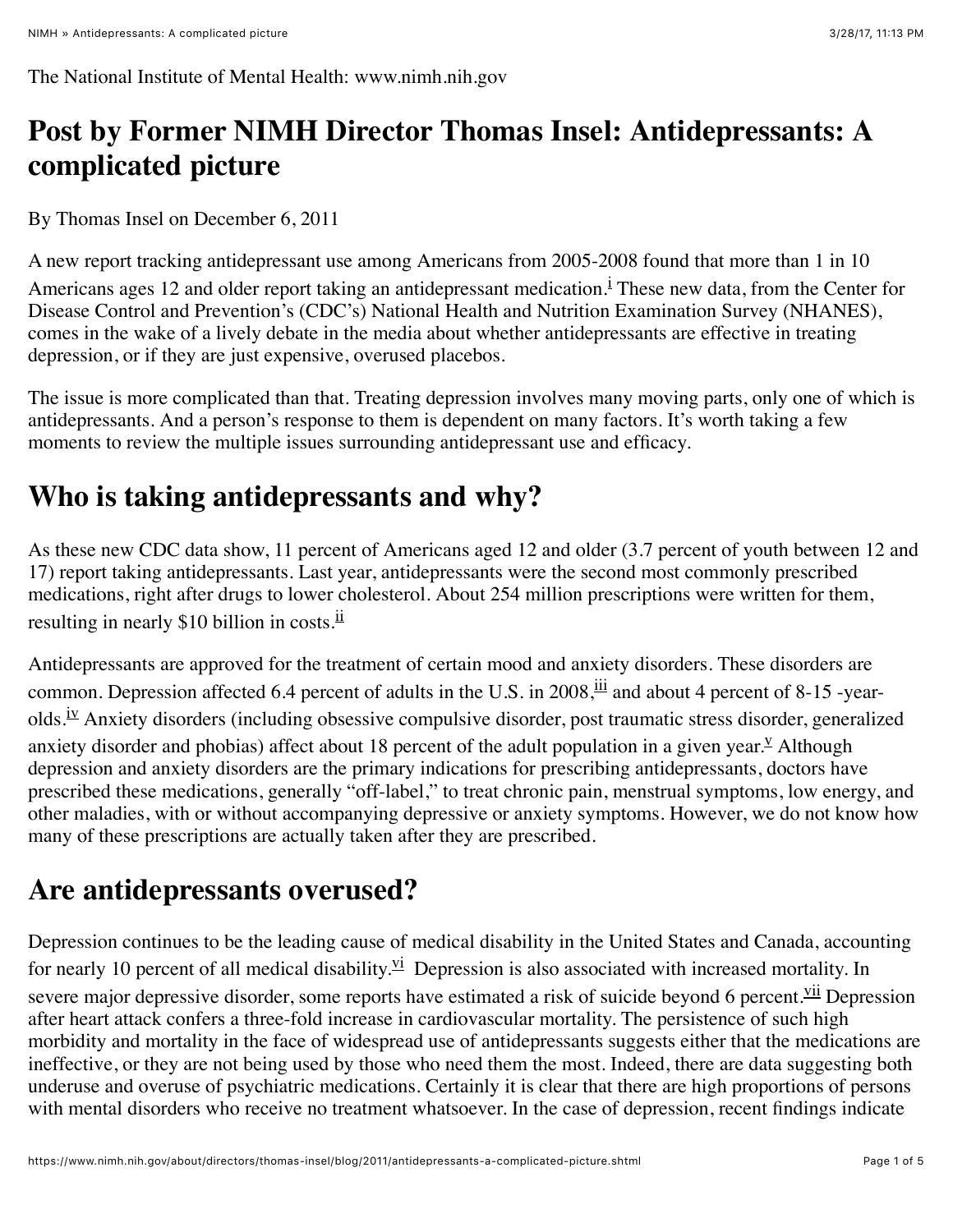The National Institute of Mental Health: www.nimh.nih.gov

# **Post by Former NIMH Director Thomas Insel: Antidepressants: A complicated picture**

By Thomas Insel on December 6, 2011

A new report tracking antidepressant use among Americans from 2005-2008 found that more than 1 in 10 Amer[i](#page-3-0)cans ages 12 and older report taking an antidepressant medication.<sup>1</sup> These new data, from the Center for Disease Control and Prevention's (CDC's) National Health and Nutrition Examination Survey (NHANES), comes in the wake of a lively debate in the media about whether antidepressants are effective in treating depression, or if they are just expensive, overused placebos.

The issue is more complicated than that. Treating depression involves many moving parts, only one of which is antidepressants. And a person's response to them is dependent on many factors. It's worth taking a few moments to review the multiple issues surrounding antidepressant use and efficacy.

## **Who is taking antidepressants and why?**

As these new CDC data show, 11 percent of Americans aged 12 and older (3.7 percent of youth between 12 and 17) report taking antidepressants. Last year, antidepressants were the second most commonly prescribed medications, right after drugs to lower cholesterol. About 254 million prescriptions were written for them, resulting in nearly \$10 billion in costs.<sup>[ii](#page-3-1)</sup>

<span id="page-0-3"></span><span id="page-0-2"></span><span id="page-0-1"></span><span id="page-0-0"></span>Antidepressants are approved for the treatment of certain mood and anxiety disorders. These disorders are common. Depression affected 6.4 percent of adults in the U.S. in 2008,  $\frac{iii}{11}$  $\frac{iii}{11}$  $\frac{iii}{11}$  and about 4 percent of 8-15 -yearolds.<sup>iv</sup> Anxiety disorders (including obsessive compulsive disorder, post traumatic stress disorder, generalized anxiety disorder and phobias) affect about 18 percent of the adult population in a gi[v](#page-3-4)en year.<sup> $\angle$ </sup> Although depression and anxiety disorders are the primary indications for prescribing antidepressants, doctors have prescribed these medications, generally "off-label," to treat chronic pain, menstrual symptoms, low energy, and other maladies, with or without accompanying depressive or anxiety symptoms. However, we do not know how many of these prescriptions are actually taken after they are prescribed.

## **Are antidepressants overused?**

<span id="page-0-4"></span>Depression continues to be the leading cause of medical disability in the United States and Canada, accounting for nearly 10 percent of all medical disability.<sup> $vi$ </sup> Depression is also associated with increased mortality. In severe major depressive disorder, some reports have estimated a risk of suicide beyond 6 percent.<sup>Vii</sup> Depression after heart attack confers a three-fold increase in cardiovascular mortality. The persistence of such high morbidity and mortality in the face of widespread use of antidepressants suggests either that the medications are ineffective, or they are not being used by those who need them the most. Indeed, there are data suggesting both underuse and overuse of psychiatric medications. Certainly it is clear that there are high proportions of persons with mental disorders who receive no treatment whatsoever. In the case of depression, recent findings indicate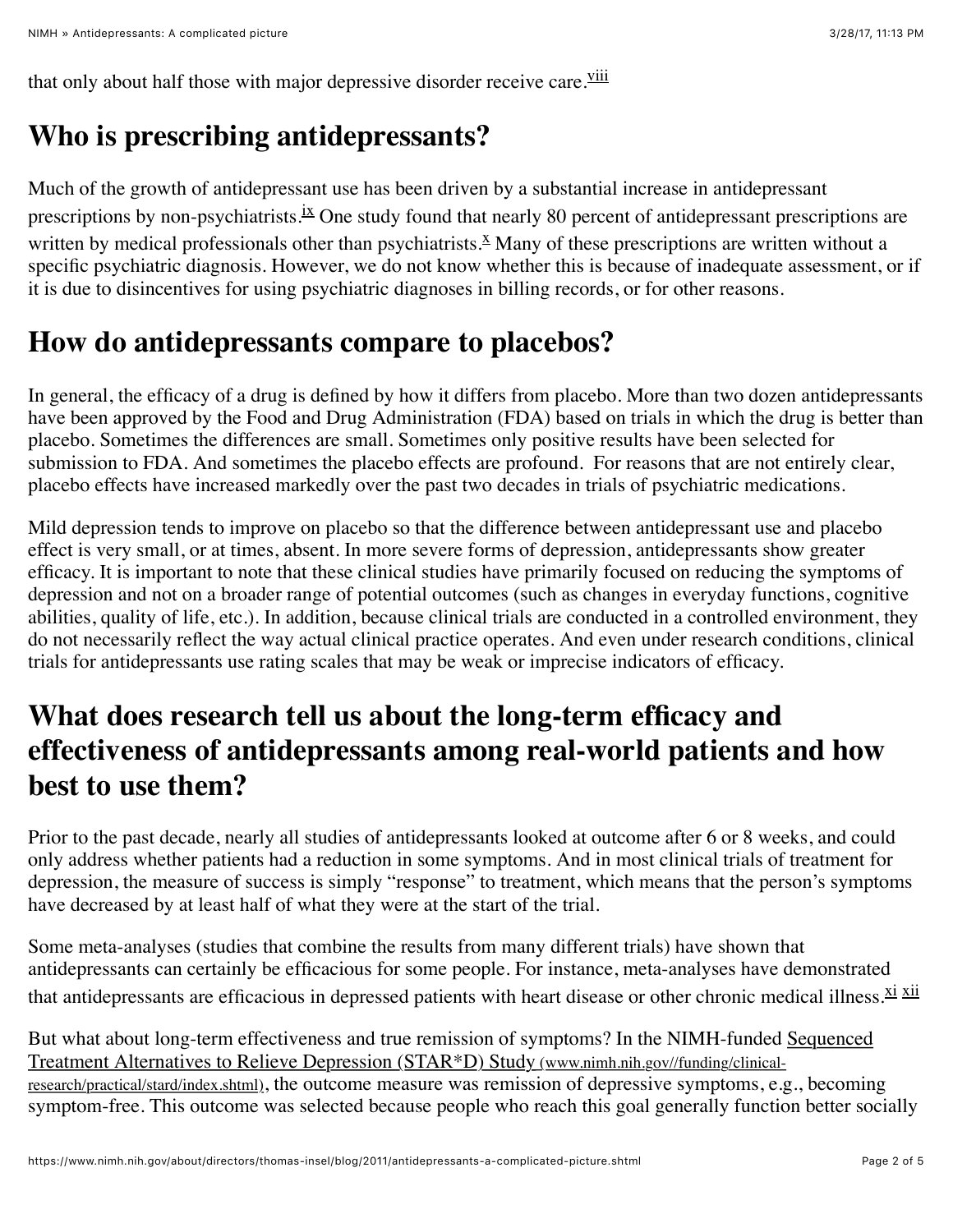that only about half those with major depressive disorder receive care.<sup>[viii](#page-3-7)</sup>

### **Who is prescribing antidepressants?**

<span id="page-1-1"></span><span id="page-1-0"></span>Much of the growth of antidepressant use has been driven by a substantial increase in antidepressant prescriptions by non-psychiatrists.<sup>[ix](#page-3-8)</sup> One study found that nearly 80 percent of antidepressant prescriptions are written by medical professionals other than psychiatrists.<sup> $X$ </sup> Many of these prescriptions are written without a specific psychiatric diagnosis. However, we do not know whether this is because of inadequate assessment, or if it is due to disincentives for using psychiatric diagnoses in billing records, or for other reasons.

#### **How do antidepressants compare to placebos?**

In general, the efficacy of a drug is defined by how it differs from placebo. More than two dozen antidepressants have been approved by the Food and Drug Administration (FDA) based on trials in which the drug is better than placebo. Sometimes the differences are small. Sometimes only positive results have been selected for submission to FDA. And sometimes the placebo effects are profound. For reasons that are not entirely clear, placebo effects have increased markedly over the past two decades in trials of psychiatric medications.

Mild depression tends to improve on placebo so that the difference between antidepressant use and placebo effect is very small, or at times, absent. In more severe forms of depression, antidepressants show greater efficacy. It is important to note that these clinical studies have primarily focused on reducing the symptoms of depression and not on a broader range of potential outcomes (such as changes in everyday functions, cognitive abilities, quality of life, etc.). In addition, because clinical trials are conducted in a controlled environment, they do not necessarily reflect the way actual clinical practice operates. And even under research conditions, clinical trials for antidepressants use rating scales that may be weak or imprecise indicators of efficacy.

### **What does research tell us about the long-term efficacy and effectiveness of antidepressants among real-world patients and how best to use them?**

Prior to the past decade, nearly all studies of antidepressants looked at outcome after 6 or 8 weeks, and could only address whether patients had a reduction in some symptoms. And in most clinical trials of treatment for depression, the measure of success is simply "response" to treatment, which means that the person's symptoms have decreased by at least half of what they were at the start of the trial.

<span id="page-1-2"></span>Some meta-analyses (studies that combine the results from many different trials) have shown that antidepressants can certainly be efficacious for some people. For instance, meta-analyses have demonstrated that antidepressants are efficacious in depressed patients with heart disease or other chronic medical illness. Xi Xii

[But what about long-term effectiveness and true remission of symptoms? In the NIMH-funded Sequenced](https://www.nimh.nih.gov/funding/clinical-research/practical/stard/index.shtml) Treatment Alternatives to Relieve Depression (STAR\*D) Study (www.nimh.nih.gov//funding/clinicalresearch/practical/stard/index.shtml), the outcome measure was remission of depressive symptoms, e.g., becoming symptom-free. This outcome was selected because people who reach this goal generally function better socially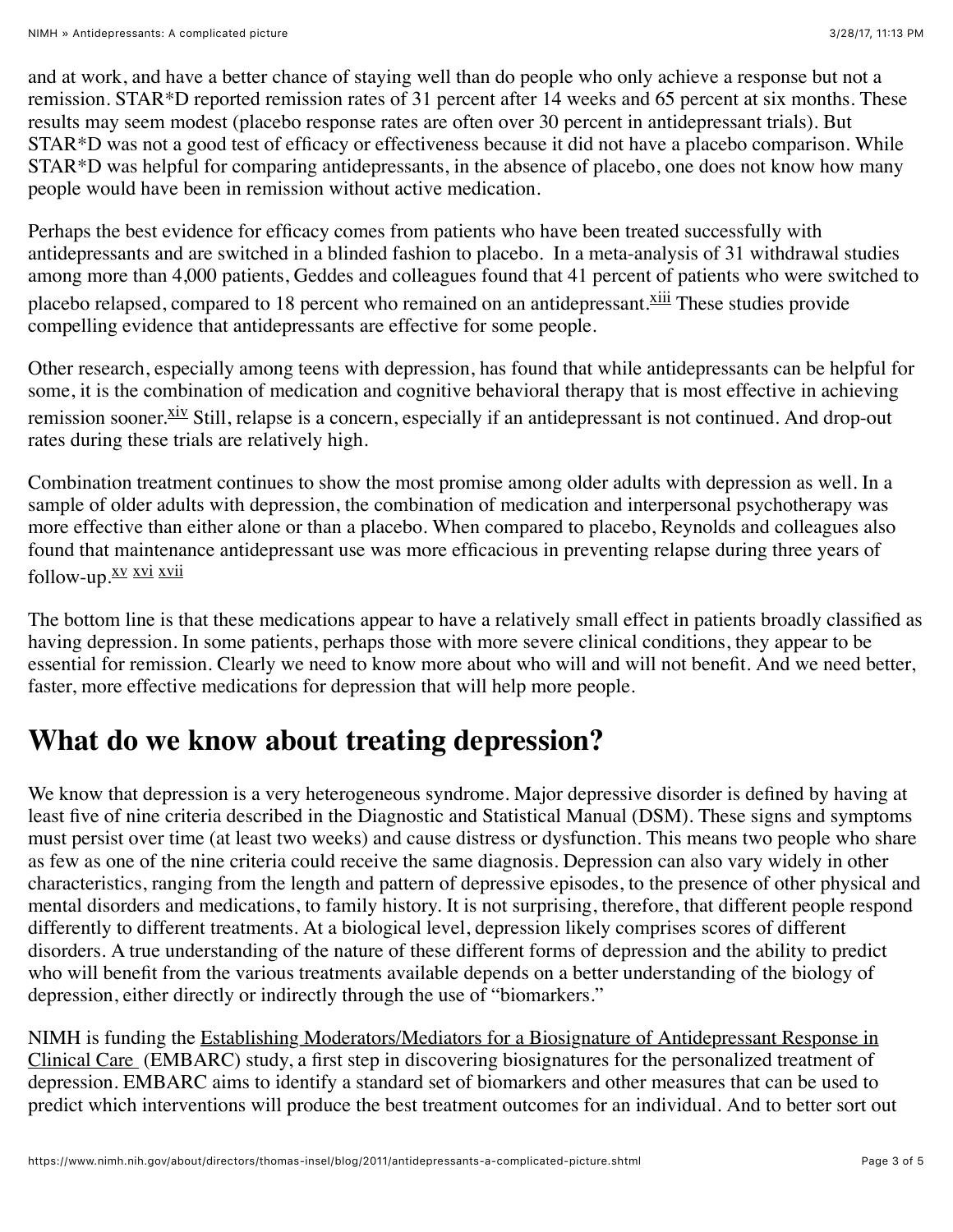and at work, and have a better chance of staying well than do people who only achieve a response but not a remission. STAR\*D reported remission rates of 31 percent after 14 weeks and 65 percent at six months. These results may seem modest (placebo response rates are often over 30 percent in antidepressant trials). But STAR\*D was not a good test of efficacy or effectiveness because it did not have a placebo comparison. While STAR\*D was helpful for comparing antidepressants, in the absence of placebo, one does not know how many people would have been in remission without active medication.

Perhaps the best evidence for efficacy comes from patients who have been treated successfully with antidepressants and are switched in a blinded fashion to placebo. In a meta-analysis of 31 withdrawal studies among more than 4,000 patients, Geddes and colleagues found that 41 percent of patients who were switched to placebo relapsed, compared to 18 percent who remained on an antidepressant. Xill These studies provide compelling evidence that antidepressants are effective for some people.

<span id="page-2-0"></span>Other research, especially among teens with depression, has found that while antidepressants can be helpful for some, it is the combination of medication and cognitive behavioral therapy that is most effective in achieving remission sooner. Xiv Still, relapse is a concern, especially if an antidepressant is not continued. And drop-out rates during these trials are relatively high.

Combination treatment continues to show the most promise among older adults with depression as well. In a sample of older adults with depression, the combination of medication and interpersonal psychotherapy was more effective than either alone or than a placebo. When compared to placebo, Reynolds and colleagues also found that maintenance antidepressant use was more efficacious in preventing relapse during three years of follow-up. XV XVI XVII

<span id="page-2-3"></span><span id="page-2-2"></span><span id="page-2-1"></span>The bottom line is that these medications appear to have a relatively small effect in patients broadly classified as having depression. In some patients, perhaps those with more severe clinical conditions, they appear to be essential for remission. Clearly we need to know more about who will and will not benefit. And we need better, faster, more effective medications for depression that will help more people.

#### **What do we know about treating depression?**

We know that depression is a very heterogeneous syndrome. Major depressive disorder is defined by having at least five of nine criteria described in the Diagnostic and Statistical Manual (DSM). These signs and symptoms must persist over time (at least two weeks) and cause distress or dysfunction. This means two people who share as few as one of the nine criteria could receive the same diagnosis. Depression can also vary widely in other characteristics, ranging from the length and pattern of depressive episodes, to the presence of other physical and mental disorders and medications, to family history. It is not surprising, therefore, that different people respond differently to different treatments. At a biological level, depression likely comprises scores of different disorders. A true understanding of the nature of these different forms of depression and the ability to predict who will benefit from the various treatments available depends on a better understanding of the biology of depression, either directly or indirectly through the use of "biomarkers."

[NIMH is funding the Establishing Moderators/Mediators for a Biosignature of Antidepressant Response in](http://projectreporter.nih.gov/project_info_description.cfm?aid=8152214&icde=10646962&ddparam=&ddvalue=&ddsub=) Clinical Care (EMBARC) study, a first step in discovering biosignatures for the personalized treatment of depression. EMBARC aims to identify a standard set of biomarkers and other measures that can be used to predict which interventions will produce the best treatment outcomes for an individual. And to better sort out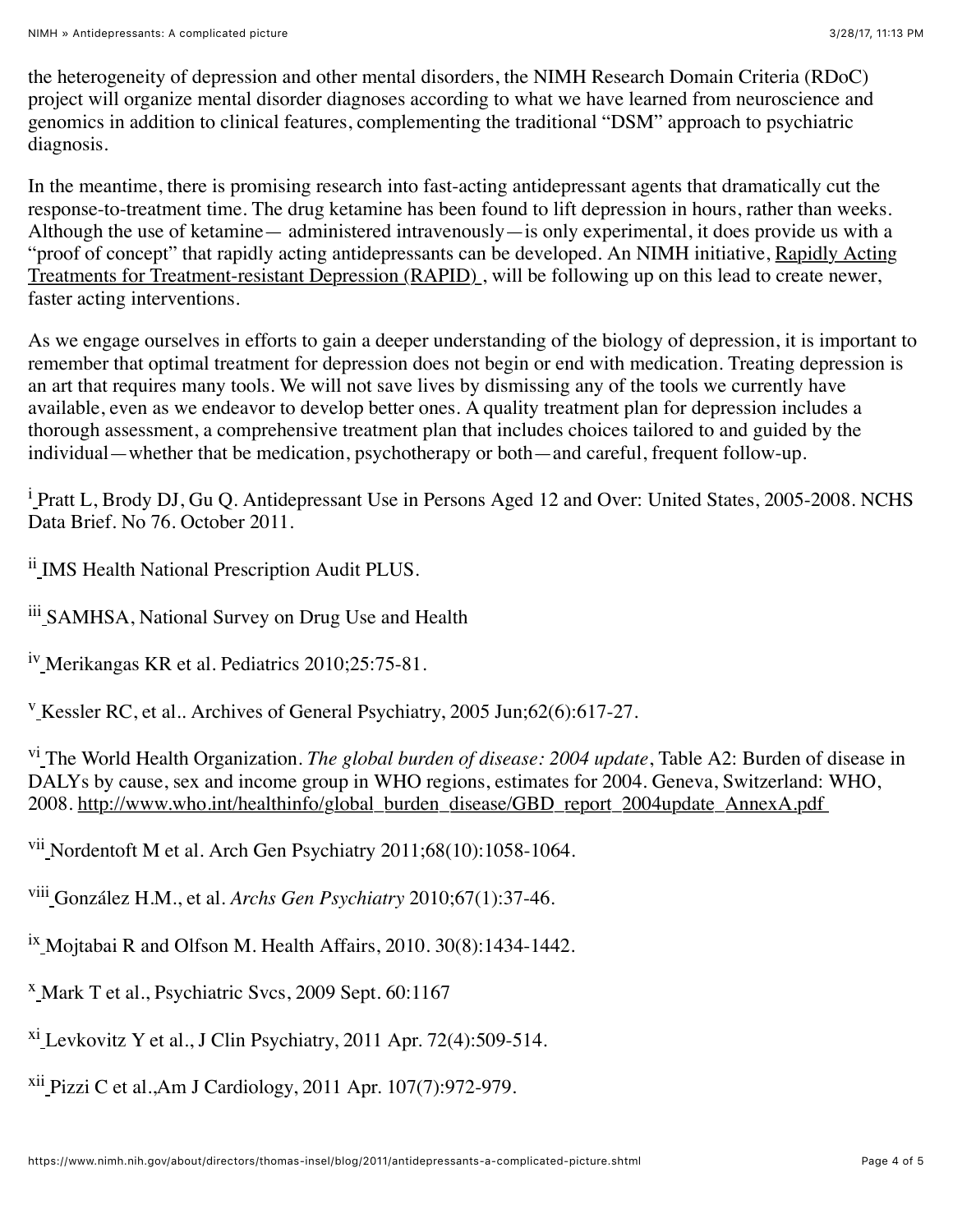the heterogeneity of depression and other mental disorders, the NIMH Research Domain Criteria (RDoC) project will organize mental disorder diagnoses according to what we have learned from neuroscience and genomics in addition to clinical features, complementing the traditional "DSM" approach to psychiatric diagnosis.

In the meantime, there is promising research into fast-acting antidepressant agents that dramatically cut the response-to-treatment time. The drug ketamine has been found to lift depression in hours, rather than weeks. Although the use of ketamine— administered intravenously—is only experimental, it does provide us with a ["proof of concept" that rapidly acting antidepressants can be developed. An NIMH initiative, Rapidly Acting](http://projectreporter.nih.gov/project_info_description.cfm?aid=8340433&icde=10631111&ddparam=&ddvalue=&ddsub=) Treatments for Treatment-resistant Depression (RAPID) , will be following up on this lead to create newer, faster acting interventions.

As we engage ourselves in efforts to gain a deeper understanding of the biology of depression, it is important to remember that optimal treatment for depression does not begin or end with medication. Treating depression is an art that requires many tools. We will not save lives by dismissing any of the tools we currently have available, even as we endeavor to develop better ones. A quality treatment plan for depression includes a thorough assessment, a comprehensive treatment plan that includes choices tailored to and guided by the individual—whether that be medication, psychotherapy or both—and careful, frequent follow-up.

<span id="page-3-0"></span><sup>i</sup> Pratt L, Brody DJ, Gu Q. Antidepressant Use in Persons Aged 12 and Over: United States, 2005-2008. NCHS Data Brief. No 76. October 2011.

<span id="page-3-1"></span>ii [I](#page-0-0)MS Health National Prescription Audit PLUS.

<span id="page-3-2"></span>iii [S](#page-0-1)AMHSA, National Survey on Drug Use and Health

<span id="page-3-3"></span><sup>i[v](#page-0-2)</sup> Merikangas KR et al. Pediatrics 2010;25:75-81.

<span id="page-3-4"></span><sup>[v](#page-0-3)</sup> Kessler RC, et al.. Archives of General Psychiatry, 2005 Jun;62(6):617-27.

<span id="page-3-5"></span>v[i](#page-0-4) The World Health Organization. *The global burden of disease: 2004 update*, Table A2: Burden of disease in DALYs by cause, sex and income group in WHO regions, estimates for 2004. Geneva, Switzerland: WHO, 2008. http://www.who.int/healthinfo/global\_burden\_disease/GBD\_report\_2004update\_AnnexA.pdf

<span id="page-3-6"></span><sup>vii</sup> Nordentoft M et al. Arch Gen Psychiatry 2011;68(10):1058-1064.

<span id="page-3-7"></span>viii González H.M., et al. *Archs Gen Psychiatry* 2010;67(1):37-46.

<span id="page-3-8"></span> $^{1x}$  $^{1x}$  $^{1x}$  Mojtabai R and Olfson M. Health Affairs, 2010. 30(8):1434-1442.

<span id="page-3-9"></span>[x](#page-1-1) Mark T et al., Psychiatric Svcs, 2009 Sept. 60:1167

<span id="page-3-10"></span> $x_i$  $x_i$  Levkovitz Y et al., J Clin Psychiatry, 2011 Apr. 72(4):509-514.

<span id="page-3-11"></span> $xii$  Pizzi C et al., Am J Cardiology, 2011 Apr. 107(7): 972-979.